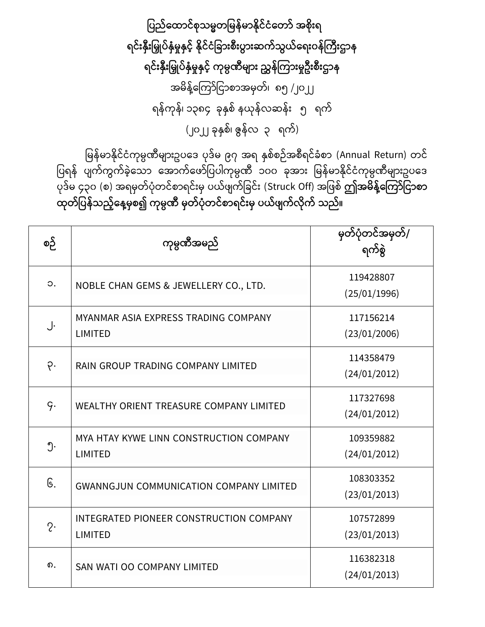ပြည်ထောင်စုသမ္မတမြန်မာနိုင်ငံတော် အစိုးရ ရင်းနှီးမြှုပ်နှံမှုနှင့် နိုင်ငံခြားစီးပွားဆက်သွယ်ရေးဝန်ကြီးဌာန ရင်းနှီးမြှုပ်နှံမှုနှင့် ကုမ္ပဏီများ ညွှန်ကြားမှုဦးစီးဌာန အမိန့်ကြော်ငြာစာအမှတ်၊ ၈၅ /၂၀၂၂ ရန်ကုန်၊ ၁၃၈၄ ခုနှစ် နယုန်လဆန်း ၅ ရက် (၂၀၂၂ ခုနှစ်၊ ဇွန်လ ၃ ရက်)

မြန်မာနိုင်ငံကုမ္ပဏီများဥပဒေ ပုဒ်မ ၉၇ အရ နှစ်စဉ်အစီရင်ခံစာ (Annual Return) တင် .<br>ပြရန် ပျက်ကွက်ခဲ့သော အောက်ဖော်ပြပါကုမ္ပဏီ ၁၀၀ ခုအား မြန်မာနိုင်ငံကုမ္ပဏီများဥပဒေ ပုေြော်မ ၄၃၀ (စ) အရမှတြော်ပံုတ ြော်စြာရ ြော််းမှ ပယြော် ြော်ငခ ြော််း (Struck Off) အင စြော် **ဤအမ္ န့််ထကကော်ပငောစော**  ထုတ်ပြန်သည့်နေ့မှစ၍ ကုမ္ပဏီ မှတ်ပုံတင်စာရင်းမှ ပယ်ဖျက်လိုက် သည်။

| စဉ်         | ကုမ္ပဏီအမည်                                               | မှတ်ပုံတင်အမှတ်/<br>ရက်စွဲ |
|-------------|-----------------------------------------------------------|----------------------------|
| $\circ$ .   | NOBLE CHAN GEMS & JEWELLERY CO., LTD.                     | 119428807<br>(25/01/1996)  |
| J.          | MYANMAR ASIA EXPRESS TRADING COMPANY<br><b>LIMITED</b>    | 117156214<br>(23/01/2006)  |
| $\varphi$ . | RAIN GROUP TRADING COMPANY LIMITED                        | 114358479<br>(24/01/2012)  |
| q.          | <b>WEALTHY ORIENT TREASURE COMPANY LIMITED</b>            | 117327698<br>(24/01/2012)  |
| ၅.          | MYA HTAY KYWE LINN CONSTRUCTION COMPANY<br><b>LIMITED</b> | 109359882<br>(24/01/2012)  |
| G.          | <b>GWANNGJUN COMMUNICATION COMPANY LIMITED</b>            | 108303352<br>(23/01/2013)  |
| $2\cdot$    | INTEGRATED PIONEER CONSTRUCTION COMPANY<br><b>LIMITED</b> | 107572899<br>(23/01/2013)  |
| ၈.          | SAN WATI OO COMPANY LIMITED                               | 116382318<br>(24/01/2013)  |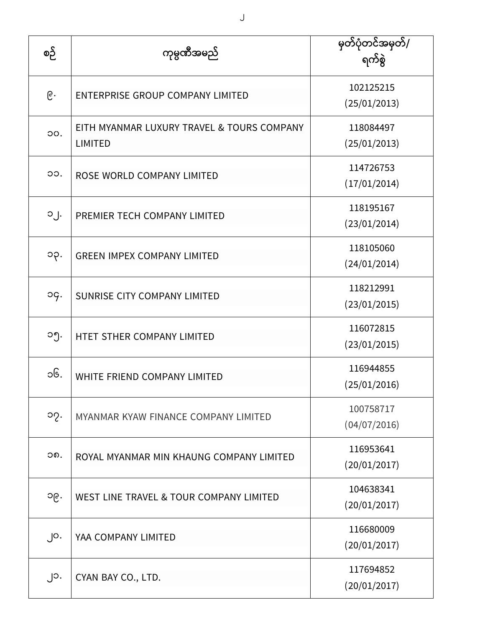| စဉ်             | ကုမ္ပဏီအမည်                                                  | မှတ်ပုံတင်အမှတ်/<br>ရက်စွဲ |
|-----------------|--------------------------------------------------------------|----------------------------|
| $\mathcal{C}$ . | <b>ENTERPRISE GROUP COMPANY LIMITED</b>                      | 102125215<br>(25/01/2013)  |
| OO.             | EITH MYANMAR LUXURY TRAVEL & TOURS COMPANY<br><b>LIMITED</b> | 118084497<br>(25/01/2013)  |
| OO.             | ROSE WORLD COMPANY LIMITED                                   | 114726753<br>(17/01/2014)  |
| $O_1$ .         | PREMIER TECH COMPANY LIMITED                                 | 118195167<br>(23/01/2014)  |
| ၁၃.             | <b>GREEN IMPEX COMPANY LIMITED</b>                           | 118105060<br>(24/01/2014)  |
| og.             | SUNRISE CITY COMPANY LIMITED                                 | 118212991<br>(23/01/2015)  |
| ၁၅.             | HTET STHER COMPANY LIMITED                                   | 116072815<br>(23/01/2015)  |
| ၁၆.             | WHITE FRIEND COMPANY LIMITED                                 | 116944855<br>(25/01/2016)  |
| ၁၇.             | MYANMAR KYAW FINANCE COMPANY LIMITED                         | 100758717<br>(04/07/2016)  |
| ၁၈.             | ROYAL MYANMAR MIN KHAUNG COMPANY LIMITED                     | 116953641<br>(20/01/2017)  |
| ၁၉.             | WEST LINE TRAVEL & TOUR COMPANY LIMITED                      | 104638341<br>(20/01/2017)  |
| $\int$ O.       | YAA COMPANY LIMITED                                          | 116680009<br>(20/01/2017)  |
| ၂၁.             | CYAN BAY CO., LTD.                                           | 117694852<br>(20/01/2017)  |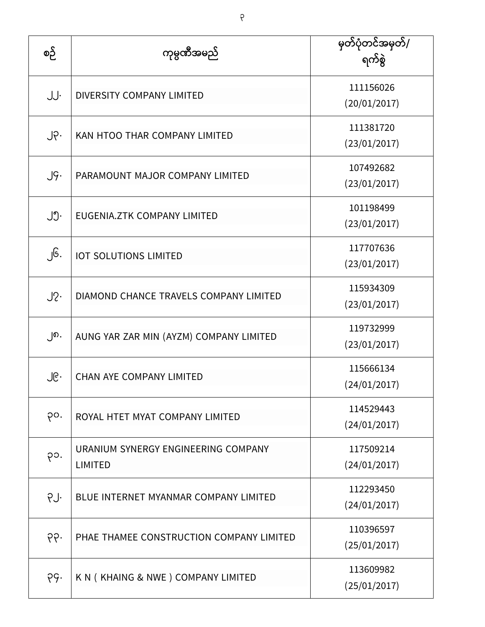| စဉ်              | ကုမ္ပဏီအမည်                                           | မှတ်ပုံတင်အမှတ်/<br>ရက်စွဲ |
|------------------|-------------------------------------------------------|----------------------------|
| JJ.              | <b>DIVERSITY COMPANY LIMITED</b>                      | 111156026<br>(20/01/2017)  |
| $J \circ \cdot$  | KAN HTOO THAR COMPANY LIMITED                         | 111381720<br>(23/01/2017)  |
| $J\mathcal{G}$ . | PARAMOUNT MAJOR COMPANY LIMITED                       | 107492682<br>(23/01/2017)  |
| ၂၅.              | EUGENIA.ZTK COMPANY LIMITED                           | 101198499<br>(23/01/2017)  |
| ၂၆.              | <b>IOT SOLUTIONS LIMITED</b>                          | 117707636<br>(23/01/2017)  |
| $J2$ .           | DIAMOND CHANCE TRAVELS COMPANY LIMITED                | 115934309<br>(23/01/2017)  |
| ၂၈.              | AUNG YAR ZAR MIN (AYZM) COMPANY LIMITED               | 119732999<br>(23/01/2017)  |
| ၂၉.              | <b>CHAN AYE COMPANY LIMITED</b>                       | 115666134<br>(24/01/2017)  |
| po.              | ROYAL HTET MYAT COMPANY LIMITED                       | 114529443<br>(24/01/2017)  |
| ၃၁.              | URANIUM SYNERGY ENGINEERING COMPANY<br><b>LIMITED</b> | 117509214<br>(24/01/2017)  |
| PJ.              | BLUE INTERNET MYANMAR COMPANY LIMITED                 | 112293450<br>(24/01/2017)  |
| ၃၃.              | PHAE THAMEE CONSTRUCTION COMPANY LIMITED              | 110396597<br>(25/01/2017)  |
| pg.              | K N ( KHAING & NWE ) COMPANY LIMITED                  | 113609982<br>(25/01/2017)  |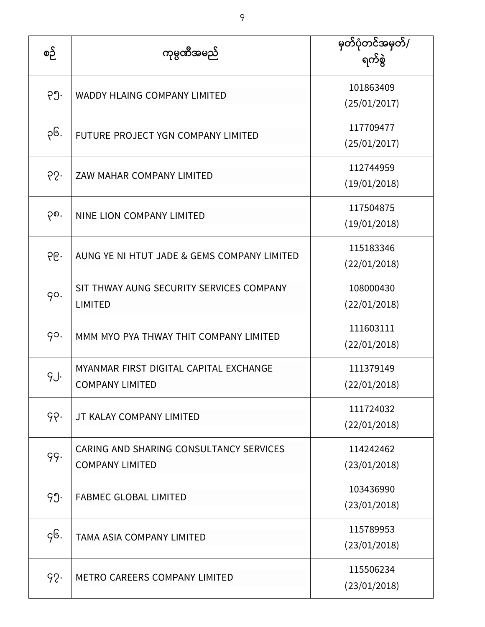| စဉ် | ကုမ္ပဏီအမည်                                                       | မြတ်ပုံတင်အမှတ်/<br>ရက်စွဲ |
|-----|-------------------------------------------------------------------|----------------------------|
| ၃၅. | <b>WADDY HLAING COMPANY LIMITED</b>                               | 101863409<br>(25/01/2017)  |
| ၃၆. | FUTURE PROJECT YGN COMPANY LIMITED                                | 117709477<br>(25/01/2017)  |
| 65. | ZAW MAHAR COMPANY LIMITED                                         | 112744959<br>(19/01/2018)  |
| ၃၈. | NINE LION COMPANY LIMITED                                         | 117504875<br>(19/01/2018)  |
| ၃၉. | AUNG YE NI HTUT JADE & GEMS COMPANY LIMITED                       | 115183346<br>(22/01/2018)  |
| qo. | SIT THWAY AUNG SECURITY SERVICES COMPANY<br><b>LIMITED</b>        | 108000430<br>(22/01/2018)  |
| go. | MMM MYO PYA THWAY THIT COMPANY LIMITED                            | 111603111<br>(22/01/2018)  |
| g.  | MYANMAR FIRST DIGITAL CAPITAL EXCHANGE<br><b>COMPANY LIMITED</b>  | 111379149<br>(22/01/2018)  |
| ၄၃. | JT KALAY COMPANY LIMITED                                          | 111724032<br>(22/01/2018)  |
| 99. | CARING AND SHARING CONSULTANCY SERVICES<br><b>COMPANY LIMITED</b> | 114242462<br>(23/01/2018)  |
| ၄၅. | <b>FABMEC GLOBAL LIMITED</b>                                      | 103436990<br>(23/01/2018)  |
| gG. | <b>TAMA ASIA COMPANY LIMITED</b>                                  | 115789953<br>(23/01/2018)  |
| 92. | <b>METRO CAREERS COMPANY LIMITED</b>                              | 115506234<br>(23/01/2018)  |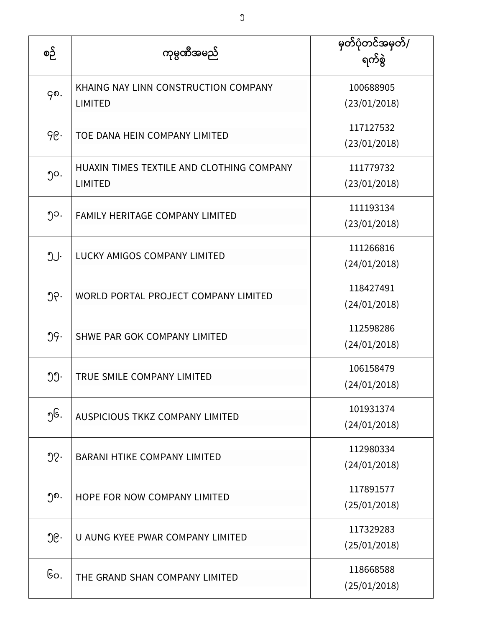| စဉ် | ကုမ္ပဏီအမည်                                                 | မှတ်ပုံတင်အမှတ်/<br>ရက်စွဲ |
|-----|-------------------------------------------------------------|----------------------------|
| ၄၈. | KHAING NAY LINN CONSTRUCTION COMPANY<br><b>LIMITED</b>      | 100688905<br>(23/01/2018)  |
| ၄၉. | TOE DANA HEIN COMPANY LIMITED                               | 117127532<br>(23/01/2018)  |
| ၅၀. | HUAXIN TIMES TEXTILE AND CLOTHING COMPANY<br><b>LIMITED</b> | 111779732<br>(23/01/2018)  |
| ၅၁. | FAMILY HERITAGE COMPANY LIMITED                             | 111193134<br>(23/01/2018)  |
| ၅၂. | <b>LUCKY AMIGOS COMPANY LIMITED</b>                         | 111266816<br>(24/01/2018)  |
| ၅၃. | WORLD PORTAL PROJECT COMPANY LIMITED                        | 118427491<br>(24/01/2018)  |
| ၅၄. | SHWE PAR GOK COMPANY LIMITED                                | 112598286<br>(24/01/2018)  |
| ၅၅. | TRUE SMILE COMPANY LIMITED                                  | 106158479<br>(24/01/2018)  |
| ၅၆. | AUSPICIOUS TKKZ COMPANY LIMITED                             | 101931374<br>(24/01/2018)  |
| 92. | <b>BARANI HTIKE COMPANY LIMITED</b>                         | 112980334<br>(24/01/2018)  |
| ၅၈. | HOPE FOR NOW COMPANY LIMITED                                | 117891577<br>(25/01/2018)  |
| ၅၉․ | U AUNG KYEE PWAR COMPANY LIMITED                            | 117329283<br>(25/01/2018)  |
| Go. | THE GRAND SHAN COMPANY LIMITED                              | 118668588<br>(25/01/2018)  |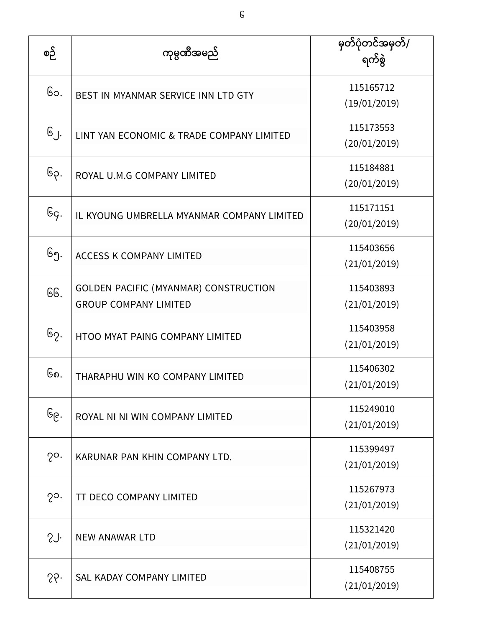| စဉ်           | ကုမ္ပဏီအမည်                                                                  | မြတ်ပုံတင်အမှတ်/<br>ရက်စွဲ |
|---------------|------------------------------------------------------------------------------|----------------------------|
| ၆၁.           | BEST IN MYANMAR SERVICE INN LTD GTY                                          | 115165712<br>(19/01/2019)  |
| $G_{.}$       | LINT YAN ECONOMIC & TRADE COMPANY LIMITED                                    | 115173553<br>(20/01/2019)  |
| ၆၃.           | ROYAL U.M.G COMPANY LIMITED                                                  | 115184881<br>(20/01/2019)  |
| ၆၄.           | IL KYOUNG UMBRELLA MYANMAR COMPANY LIMITED                                   | 115171151<br>(20/01/2019)  |
| ၆၅.           | <b>ACCESS K COMPANY LIMITED</b>                                              | 115403656<br>(21/01/2019)  |
| GG.           | <b>GOLDEN PACIFIC (MYANMAR) CONSTRUCTION</b><br><b>GROUP COMPANY LIMITED</b> | 115403893<br>(21/01/2019)  |
| ၆၇.           | HTOO MYAT PAING COMPANY LIMITED                                              | 115403958<br>(21/01/2019)  |
| ၆၈.           | THARAPHU WIN KO COMPANY LIMITED                                              | 115406302<br>(21/01/2019)  |
| ၆၉․           | ROYAL NI NI WIN COMPANY LIMITED                                              | 115249010<br>(21/01/2019)  |
| $2^{\circ}$ . | KARUNAR PAN KHIN COMPANY LTD.                                                | 115399497<br>(21/01/2019)  |
| $2^{\circ}$ . | TT DECO COMPANY LIMITED                                                      | 115267973<br>(21/01/2019)  |
| SJ.           | <b>NEW ANAWAR LTD</b>                                                        | 115321420<br>(21/01/2019)  |
| 55.           | SAL KADAY COMPANY LIMITED                                                    | 115408755<br>(21/01/2019)  |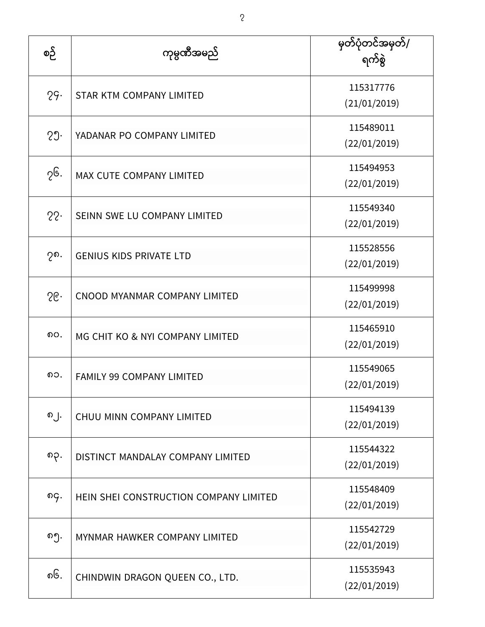| စဉ် | ကုမ္ပဏီအမည်                            | မှတ်ပုံတင်အမှတ်/<br>ရက်စွဲ |
|-----|----------------------------------------|----------------------------|
| 29. | <b>STAR KTM COMPANY LIMITED</b>        | 115317776<br>(21/01/2019)  |
| 29. | YADANAR PO COMPANY LIMITED             | 115489011<br>(22/01/2019)  |
| ၇၆. | MAX CUTE COMPANY LIMITED               | 115494953<br>(22/01/2019)  |
| 22. | SEINN SWE LU COMPANY LIMITED           | 115549340<br>(22/01/2019)  |
| ၇၈. | <b>GENIUS KIDS PRIVATE LTD</b>         | 115528556<br>(22/01/2019)  |
| 56  | CNOOD MYANMAR COMPANY LIMITED          | 115499998<br>(22/01/2019)  |
| ၈၀. | MG CHIT KO & NYI COMPANY LIMITED       | 115465910<br>(22/01/2019)  |
| ၈၁. | <b>FAMILY 99 COMPANY LIMITED</b>       | 115549065<br>(22/01/2019)  |
| ၈၂. | CHUU MINN COMPANY LIMITED              | 115494139<br>(22/01/2019)  |
| ၈၃. | DISTINCT MANDALAY COMPANY LIMITED      | 115544322<br>(22/01/2019)  |
| ၈၄. | HEIN SHEI CONSTRUCTION COMPANY LIMITED | 115548409<br>(22/01/2019)  |
| ၈၅. | MYNMAR HAWKER COMPANY LIMITED          | 115542729<br>(22/01/2019)  |
| ၈၆. | CHINDWIN DRAGON QUEEN CO., LTD.        | 115535943<br>(22/01/2019)  |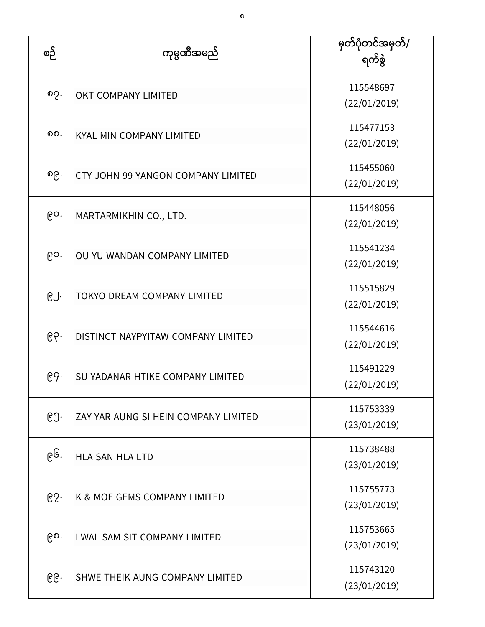| စဉ် | ကုမ္ပဏီအမည်                          | မှတ်ပုံတင်အမှတ်/<br>ရက်စွဲ |
|-----|--------------------------------------|----------------------------|
| ၈၇. | OKT COMPANY LIMITED                  | 115548697<br>(22/01/2019)  |
| ດດ. | KYAL MIN COMPANY LIMITED             | 115477153<br>(22/01/2019)  |
| ၈၉․ | CTY JOHN 99 YANGON COMPANY LIMITED   | 115455060<br>(22/01/2019)  |
| ၉၀. | MARTARMIKHIN CO., LTD.               | 115448056<br>(22/01/2019)  |
| ၉၁. | OU YU WANDAN COMPANY LIMITED         | 115541234<br>(22/01/2019)  |
| ၉၂. | <b>TOKYO DREAM COMPANY LIMITED</b>   | 115515829<br>(22/01/2019)  |
| ၉၃. | DISTINCT NAYPYITAW COMPANY LIMITED   | 115544616<br>(22/01/2019)  |
| ၉၄. | SU YADANAR HTIKE COMPANY LIMITED     | 115491229<br>(22/01/2019)  |
| ၉၅. | ZAY YAR AUNG SI HEIN COMPANY LIMITED | 115753339<br>(23/01/2019)  |
| ၉၆. | <b>HLA SAN HLA LTD</b>               | 115738488<br>(23/01/2019)  |
| ၉၇. | K & MOE GEMS COMPANY LIMITED         | 115755773<br>(23/01/2019)  |
| ၉၈. | <b>LWAL SAM SIT COMPANY LIMITED</b>  | 115753665<br>(23/01/2019)  |
| ၉၉. | SHWE THEIK AUNG COMPANY LIMITED      | 115743120<br>(23/01/2019)  |